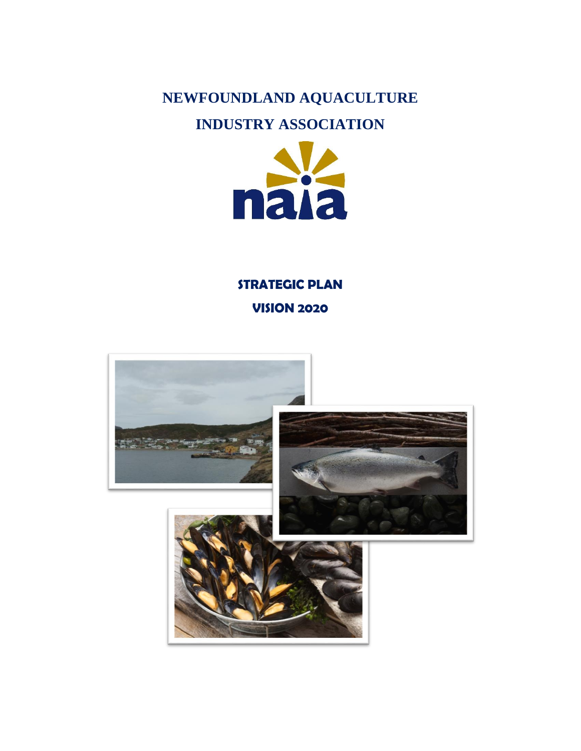# **NEWFOUNDLAND AQUACULTURE**

# **INDUSTRY ASSOCIATION**



# **STRATEGIC PLAN VISION 2020**

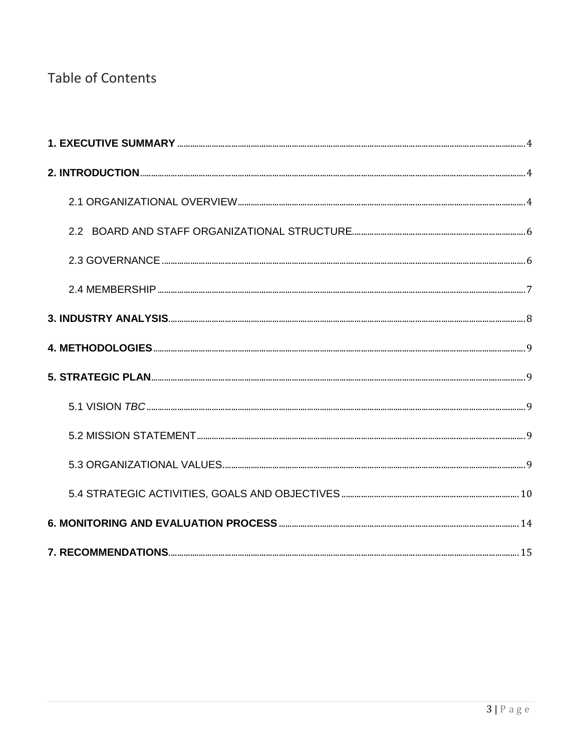# **Table of Contents**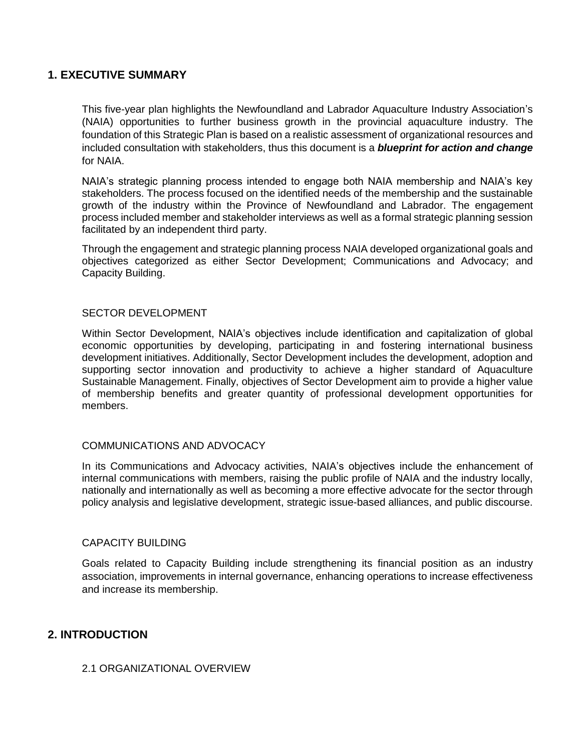## <span id="page-2-0"></span>**1. EXECUTIVE SUMMARY**

This five-year plan highlights the Newfoundland and Labrador Aquaculture Industry Association's (NAIA) opportunities to further business growth in the provincial aquaculture industry. The foundation of this Strategic Plan is based on a realistic assessment of organizational resources and included consultation with stakeholders, thus this document is a *blueprint for action and change* for NAIA.

NAIA's strategic planning process intended to engage both NAIA membership and NAIA's key stakeholders. The process focused on the identified needs of the membership and the sustainable growth of the industry within the Province of Newfoundland and Labrador. The engagement process included member and stakeholder interviews as well as a formal strategic planning session facilitated by an independent third party.

Through the engagement and strategic planning process NAIA developed organizational goals and objectives categorized as either Sector Development; Communications and Advocacy; and Capacity Building.

#### SECTOR DEVELOPMENT

Within Sector Development, NAIA's objectives include identification and capitalization of global economic opportunities by developing, participating in and fostering international business development initiatives. Additionally, Sector Development includes the development, adoption and supporting sector innovation and productivity to achieve a higher standard of Aquaculture Sustainable Management. Finally, objectives of Sector Development aim to provide a higher value of membership benefits and greater quantity of professional development opportunities for members.

## COMMUNICATIONS AND ADVOCACY

In its Communications and Advocacy activities, NAIA's objectives include the enhancement of internal communications with members, raising the public profile of NAIA and the industry locally, nationally and internationally as well as becoming a more effective advocate for the sector through policy analysis and legislative development, strategic issue-based alliances, and public discourse.

#### CAPACITY BUILDING

Goals related to Capacity Building include strengthening its financial position as an industry association, improvements in internal governance, enhancing operations to increase effectiveness and increase its membership.

## <span id="page-2-2"></span><span id="page-2-1"></span>**2. INTRODUCTION**

#### 2.1 ORGANIZATIONAL OVERVIEW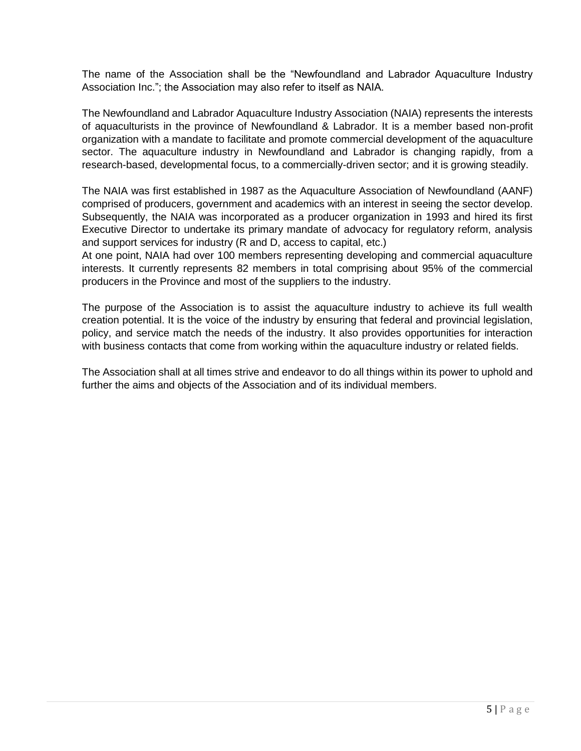The name of the Association shall be the "Newfoundland and Labrador Aquaculture Industry Association Inc."; the Association may also refer to itself as NAIA.

The Newfoundland and Labrador Aquaculture Industry Association (NAIA) represents the interests of aquaculturists in the province of Newfoundland & Labrador. It is a member based non-profit organization with a mandate to facilitate and promote commercial development of the aquaculture sector. The aquaculture industry in Newfoundland and Labrador is changing rapidly, from a research-based, developmental focus, to a commercially-driven sector; and it is growing steadily.

The NAIA was first established in 1987 as the Aquaculture Association of Newfoundland (AANF) comprised of producers, government and academics with an interest in seeing the sector develop. Subsequently, the NAIA was incorporated as a producer organization in 1993 and hired its first Executive Director to undertake its primary mandate of advocacy for regulatory reform, analysis and support services for industry (R and D, access to capital, etc.)

At one point, NAIA had over 100 members representing developing and commercial aquaculture interests. It currently represents 82 members in total comprising about 95% of the commercial producers in the Province and most of the suppliers to the industry.

The purpose of the Association is to assist the aquaculture industry to achieve its full wealth creation potential. It is the voice of the industry by ensuring that federal and provincial legislation, policy, and service match the needs of the industry. It also provides opportunities for interaction with business contacts that come from working within the aquaculture industry or related fields.

The Association shall at all times strive and endeavor to do all things within its power to uphold and further the aims and objects of the Association and of its individual members.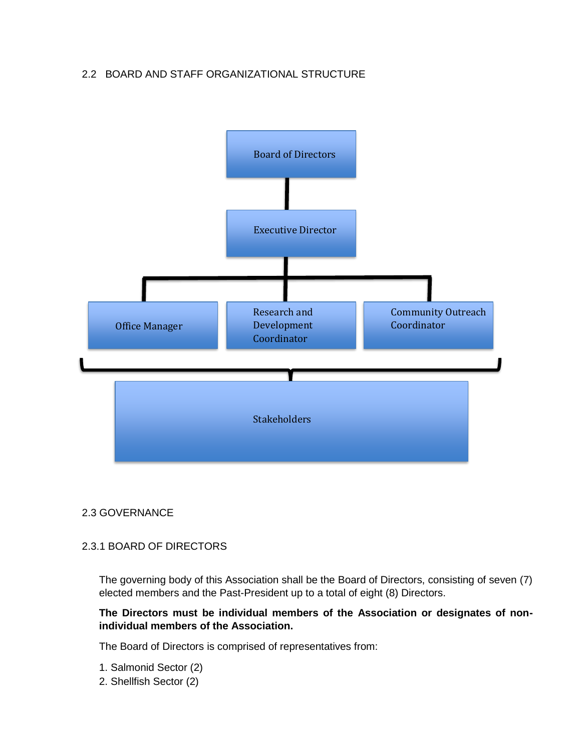## <span id="page-4-0"></span>2.2 BOARD AND STAFF ORGANIZATIONAL STRUCTURE



## <span id="page-4-1"></span>2.3 GOVERNANCE

## 2.3.1 BOARD OF DIRECTORS

The governing body of this Association shall be the Board of Directors, consisting of seven (7) elected members and the Past-President up to a total of eight (8) Directors.

## **The Directors must be individual members of the Association or designates of nonindividual members of the Association.**

The Board of Directors is comprised of representatives from:

- 1. Salmonid Sector (2)
- 2. Shellfish Sector (2)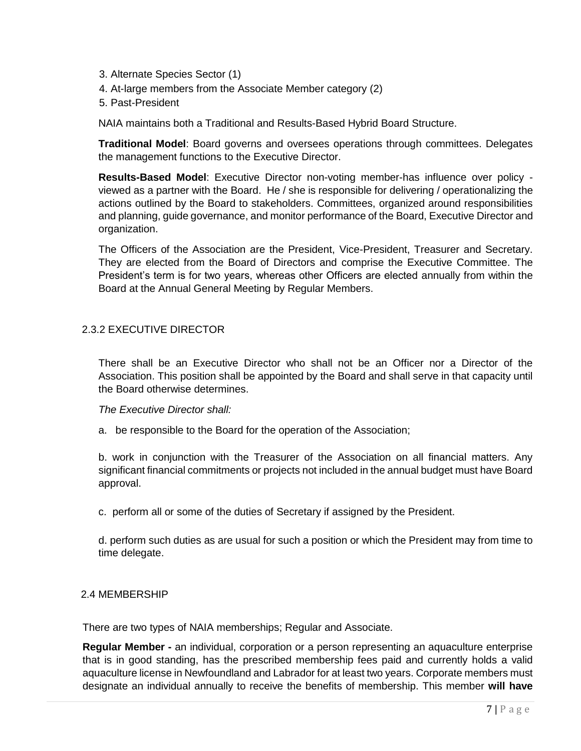- 3. Alternate Species Sector (1)
- 4. At-large members from the Associate Member category (2)
- 5. Past-President

NAIA maintains both a Traditional and Results-Based Hybrid Board Structure.

**Traditional Model**: Board governs and oversees operations through committees. Delegates the management functions to the Executive Director.

**Results-Based Model**: Executive Director non-voting member-has influence over policy viewed as a partner with the Board. He / she is responsible for delivering / operationalizing the actions outlined by the Board to stakeholders. Committees, organized around responsibilities and planning, guide governance, and monitor performance of the Board, Executive Director and organization.

The Officers of the Association are the President, Vice-President, Treasurer and Secretary. They are elected from the Board of Directors and comprise the Executive Committee. The President's term is for two years, whereas other Officers are elected annually from within the Board at the Annual General Meeting by Regular Members.

## 2.3.2 EXECUTIVE DIRECTOR

There shall be an Executive Director who shall not be an Officer nor a Director of the Association. This position shall be appointed by the Board and shall serve in that capacity until the Board otherwise determines.

*The Executive Director shall:* 

a. be responsible to the Board for the operation of the Association;

b. work in conjunction with the Treasurer of the Association on all financial matters. Any significant financial commitments or projects not included in the annual budget must have Board approval.

c. perform all or some of the duties of Secretary if assigned by the President.

d. perform such duties as are usual for such a position or which the President may from time to time delegate.

## <span id="page-5-0"></span>2.4 MEMBERSHIP

There are two types of NAIA memberships; Regular and Associate.

**Regular Member -** an individual, corporation or a person representing an aquaculture enterprise that is in good standing, has the prescribed membership fees paid and currently holds a valid aquaculture license in Newfoundland and Labrador for at least two years. Corporate members must designate an individual annually to receive the benefits of membership. This member **will have**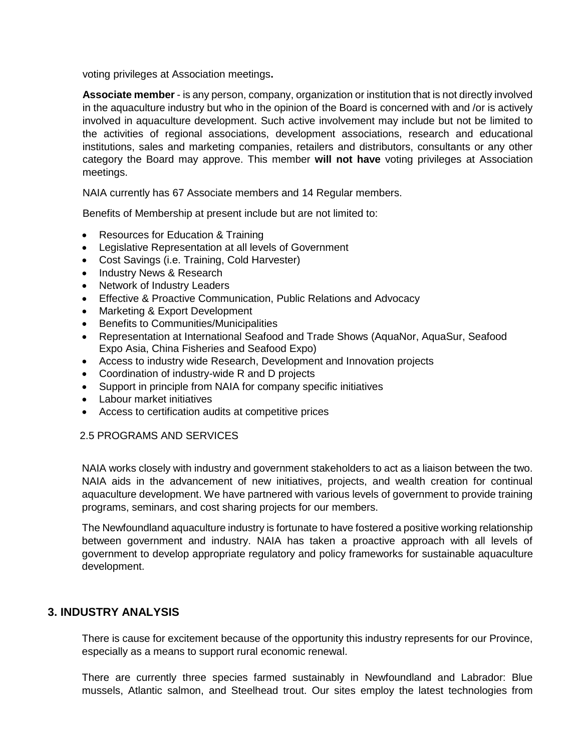voting privileges at Association meetings**.** 

**Associate member** - is any person, company, organization or institution that is not directly involved in the aquaculture industry but who in the opinion of the Board is concerned with and /or is actively involved in aquaculture development. Such active involvement may include but not be limited to the activities of regional associations, development associations, research and educational institutions, sales and marketing companies, retailers and distributors, consultants or any other category the Board may approve. This member **will not have** voting privileges at Association meetings.

NAIA currently has 67 Associate members and 14 Regular members.

Benefits of Membership at present include but are not limited to:

- Resources for Education & Training
- Legislative Representation at all levels of Government
- Cost Savings (i.e. Training, Cold Harvester)
- Industry News & Research
- Network of Industry Leaders
- Effective & Proactive Communication, Public Relations and Advocacy
- Marketing & Export Development
- Benefits to Communities/Municipalities
- Representation at International Seafood and Trade Shows (AquaNor, AquaSur, Seafood Expo Asia, China Fisheries and Seafood Expo)
- Access to industry wide Research, Development and Innovation projects
- Coordination of industry-wide R and D projects
- Support in principle from NAIA for company specific initiatives
- Labour market initiatives
- Access to certification audits at competitive prices

## 2.5 PROGRAMS AND SERVICES

NAIA works closely with industry and government stakeholders to act as a liaison between the two. NAIA aids in the advancement of new initiatives, projects, and wealth creation for continual aquaculture development. We have partnered with various levels of government to provide training programs, seminars, and cost sharing projects for our members.

The Newfoundland aquaculture industry is fortunate to have fostered a positive working relationship between government and industry. NAIA has taken a proactive approach with all levels of government to develop appropriate regulatory and policy frameworks for sustainable aquaculture development.

## <span id="page-6-0"></span>**3. INDUSTRY ANALYSIS**

There is cause for excitement because of the opportunity this industry represents for our Province, especially as a means to support rural economic renewal.

There are currently three species farmed sustainably in Newfoundland and Labrador: Blue mussels, Atlantic salmon, and Steelhead trout. Our sites employ the latest technologies from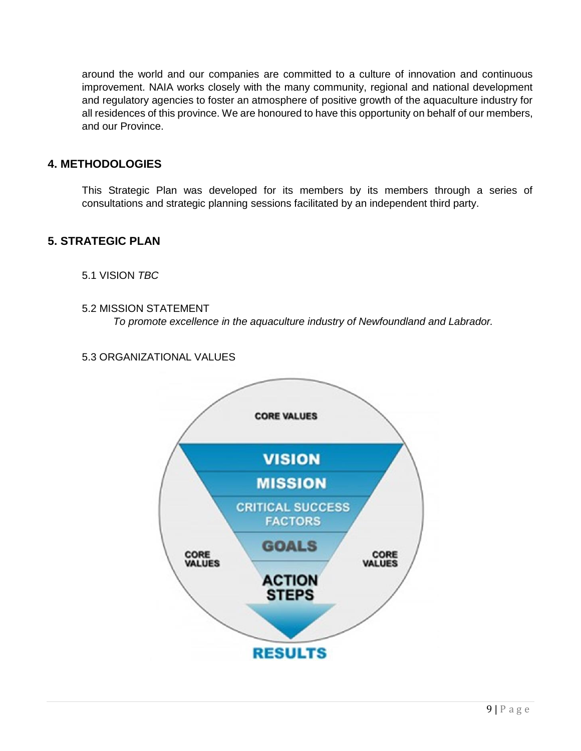around the world and our companies are committed to a culture of innovation and continuous improvement. NAIA works closely with the many community, regional and national development and regulatory agencies to foster an atmosphere of positive growth of the aquaculture industry for all residences of this province. We are honoured to have this opportunity on behalf of our members, and our Province.

## <span id="page-7-0"></span>**4. METHODOLOGIES**

This Strategic Plan was developed for its members by its members through a series of consultations and strategic planning sessions facilitated by an independent third party.

# <span id="page-7-2"></span><span id="page-7-1"></span>**5. STRATEGIC PLAN**

5.1 VISION *TBC*

<span id="page-7-3"></span>5.2 MISSION STATEMENT

*To promote excellence in the aquaculture industry of Newfoundland and Labrador.*

## <span id="page-7-4"></span>5.3 ORGANIZATIONAL VALUES

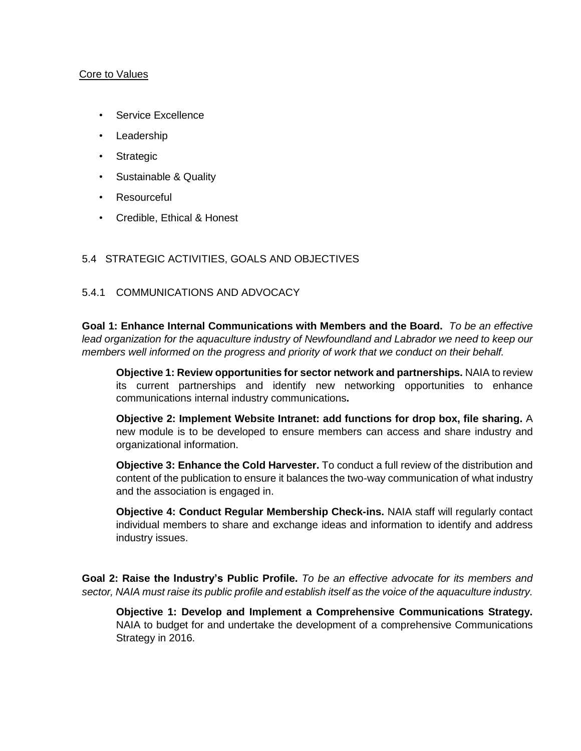#### Core to Values

- Service Excellence
- Leadership
- Strategic
- Sustainable & Quality
- **Resourceful**
- Credible, Ethical & Honest

#### <span id="page-8-0"></span>5.4 STRATEGIC ACTIVITIES, GOALS AND OBJECTIVES

#### 5.4.1 COMMUNICATIONS AND ADVOCACY

**Goal 1: Enhance Internal Communications with Members and the Board.** *To be an effective lead organization for the aquaculture industry of Newfoundland and Labrador we need to keep our members well informed on the progress and priority of work that we conduct on their behalf.*

**Objective 1: Review opportunities for sector network and partnerships.** NAIA to review its current partnerships and identify new networking opportunities to enhance communications internal industry communications**.**

**Objective 2: Implement Website Intranet: add functions for drop box, file sharing.** A new module is to be developed to ensure members can access and share industry and organizational information.

**Objective 3: Enhance the Cold Harvester.** To conduct a full review of the distribution and content of the publication to ensure it balances the two-way communication of what industry and the association is engaged in.

**Objective 4: Conduct Regular Membership Check-ins.** NAIA staff will regularly contact individual members to share and exchange ideas and information to identify and address industry issues.

**Goal 2: Raise the Industry's Public Profile.** *To be an effective advocate for its members and sector, NAIA must raise its public profile and establish itself as the voice of the aquaculture industry.*

**Objective 1: Develop and Implement a Comprehensive Communications Strategy.** NAIA to budget for and undertake the development of a comprehensive Communications Strategy in 2016.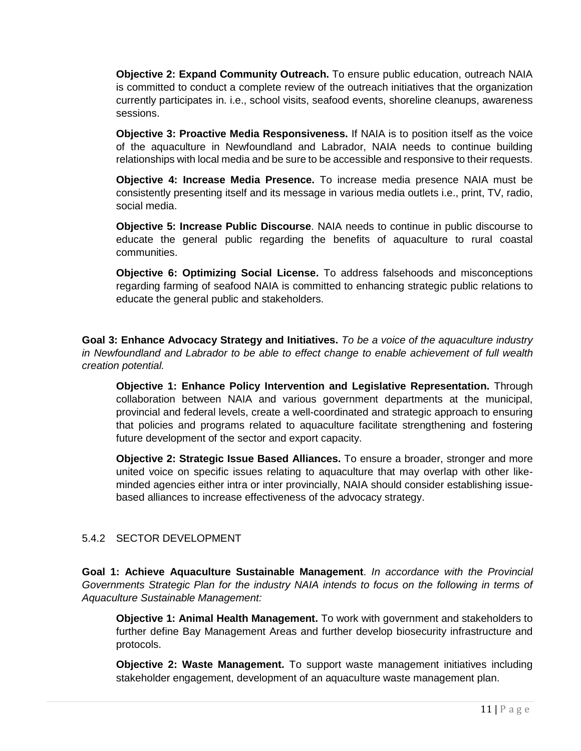**Objective 2: Expand Community Outreach.** To ensure public education, outreach NAIA is committed to conduct a complete review of the outreach initiatives that the organization currently participates in. i.e., school visits, seafood events, shoreline cleanups, awareness sessions.

**Objective 3: Proactive Media Responsiveness.** If NAIA is to position itself as the voice of the aquaculture in Newfoundland and Labrador, NAIA needs to continue building relationships with local media and be sure to be accessible and responsive to their requests.

**Objective 4: Increase Media Presence.** To increase media presence NAIA must be consistently presenting itself and its message in various media outlets i.e., print, TV, radio, social media.

**Objective 5: Increase Public Discourse**. NAIA needs to continue in public discourse to educate the general public regarding the benefits of aquaculture to rural coastal communities.

**Objective 6: Optimizing Social License.** To address falsehoods and misconceptions regarding farming of seafood NAIA is committed to enhancing strategic public relations to educate the general public and stakeholders.

**Goal 3: Enhance Advocacy Strategy and Initiatives.** *To be a voice of the aquaculture industry in Newfoundland and Labrador to be able to effect change to enable achievement of full wealth creation potential.*

**Objective 1: Enhance Policy Intervention and Legislative Representation.** Through collaboration between NAIA and various government departments at the municipal, provincial and federal levels, create a well-coordinated and strategic approach to ensuring that policies and programs related to aquaculture facilitate strengthening and fostering future development of the sector and export capacity.

**Objective 2: Strategic Issue Based Alliances.** To ensure a broader, stronger and more united voice on specific issues relating to aquaculture that may overlap with other likeminded agencies either intra or inter provincially, NAIA should consider establishing issuebased alliances to increase effectiveness of the advocacy strategy.

## 5.4.2 SECTOR DEVELOPMENT

**Goal 1: Achieve Aquaculture Sustainable Management**. *In accordance with the Provincial Governments Strategic Plan for the industry NAIA intends to focus on the following in terms of Aquaculture Sustainable Management:*

**Objective 1: Animal Health Management.** To work with government and stakeholders to further define Bay Management Areas and further develop biosecurity infrastructure and protocols.

**Objective 2: Waste Management.** To support waste management initiatives including stakeholder engagement, development of an aquaculture waste management plan.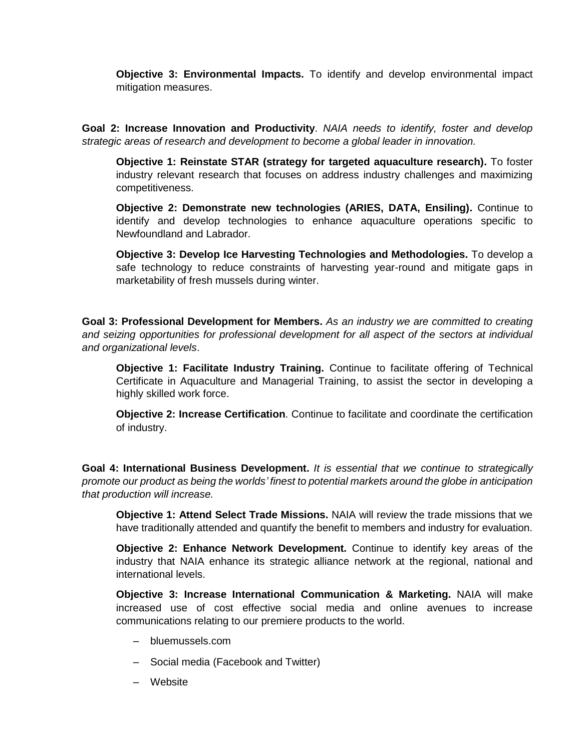**Objective 3: Environmental Impacts.** To identify and develop environmental impact mitigation measures.

**Goal 2: Increase Innovation and Productivity**. *NAIA needs to identify, foster and develop strategic areas of research and development to become a global leader in innovation.*

**Objective 1: Reinstate STAR (strategy for targeted aquaculture research).** To foster industry relevant research that focuses on address industry challenges and maximizing competitiveness.

**Objective 2: Demonstrate new technologies (ARIES, DATA, Ensiling).** Continue to identify and develop technologies to enhance aquaculture operations specific to Newfoundland and Labrador.

**Objective 3: Develop Ice Harvesting Technologies and Methodologies.** To develop a safe technology to reduce constraints of harvesting year-round and mitigate gaps in marketability of fresh mussels during winter.

**Goal 3: Professional Development for Members.** *As an industry we are committed to creating and seizing opportunities for professional development for all aspect of the sectors at individual and organizational levels*.

**Objective 1: Facilitate Industry Training.** Continue to facilitate offering of Technical Certificate in Aquaculture and Managerial Training, to assist the sector in developing a highly skilled work force.

**Objective 2: Increase Certification**. Continue to facilitate and coordinate the certification of industry.

**Goal 4: International Business Development.** *It is essential that we continue to strategically promote our product as being the worlds' finest to potential markets around the globe in anticipation that production will increase.*

**Objective 1: Attend Select Trade Missions.** NAIA will review the trade missions that we have traditionally attended and quantify the benefit to members and industry for evaluation.

**Objective 2: Enhance Network Development.** Continue to identify key areas of the industry that NAIA enhance its strategic alliance network at the regional, national and international levels.

**Objective 3: Increase International Communication & Marketing.** NAIA will make increased use of cost effective social media and online avenues to increase communications relating to our premiere products to the world.

- bluemussels.com
- Social media (Facebook and Twitter)
- Website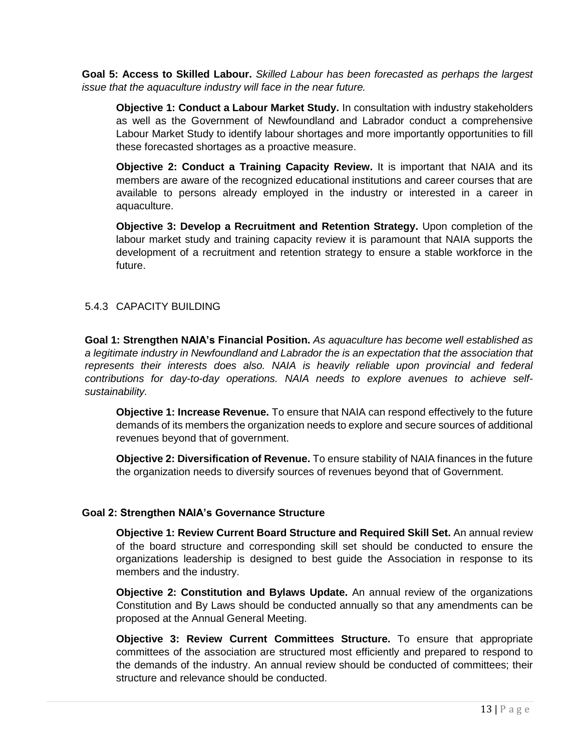**Goal 5: Access to Skilled Labour.** *Skilled Labour has been forecasted as perhaps the largest issue that the aquaculture industry will face in the near future.*

**Objective 1: Conduct a Labour Market Study.** In consultation with industry stakeholders as well as the Government of Newfoundland and Labrador conduct a comprehensive Labour Market Study to identify labour shortages and more importantly opportunities to fill these forecasted shortages as a proactive measure.

**Objective 2: Conduct a Training Capacity Review.** It is important that NAIA and its members are aware of the recognized educational institutions and career courses that are available to persons already employed in the industry or interested in a career in aquaculture.

**Objective 3: Develop a Recruitment and Retention Strategy.** Upon completion of the labour market study and training capacity review it is paramount that NAIA supports the development of a recruitment and retention strategy to ensure a stable workforce in the future.

## 5.4.3 CAPACITY BUILDING

**Goal 1: Strengthen NAIA's Financial Position.** *As aquaculture has become well established as a legitimate industry in Newfoundland and Labrador the is an expectation that the association that represents their interests does also. NAIA is heavily reliable upon provincial and federal contributions for day-to-day operations. NAIA needs to explore avenues to achieve selfsustainability.*

**Objective 1: Increase Revenue.** To ensure that NAIA can respond effectively to the future demands of its members the organization needs to explore and secure sources of additional revenues beyond that of government.

**Objective 2: Diversification of Revenue.** To ensure stability of NAIA finances in the future the organization needs to diversify sources of revenues beyond that of Government.

## **Goal 2: Strengthen NAIA's Governance Structure**

**Objective 1: Review Current Board Structure and Required Skill Set.** An annual review of the board structure and corresponding skill set should be conducted to ensure the organizations leadership is designed to best guide the Association in response to its members and the industry.

**Objective 2: Constitution and Bylaws Update.** An annual review of the organizations Constitution and By Laws should be conducted annually so that any amendments can be proposed at the Annual General Meeting.

**Objective 3: Review Current Committees Structure.** To ensure that appropriate committees of the association are structured most efficiently and prepared to respond to the demands of the industry. An annual review should be conducted of committees; their structure and relevance should be conducted.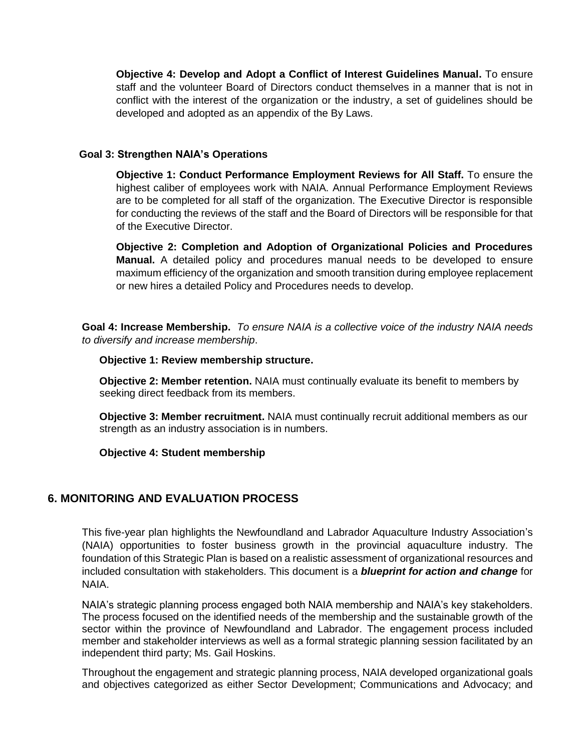**Objective 4: Develop and Adopt a Conflict of Interest Guidelines Manual.** To ensure staff and the volunteer Board of Directors conduct themselves in a manner that is not in conflict with the interest of the organization or the industry, a set of guidelines should be developed and adopted as an appendix of the By Laws.

#### **Goal 3: Strengthen NAIA's Operations**

**Objective 1: Conduct Performance Employment Reviews for All Staff.** To ensure the highest caliber of employees work with NAIA. Annual Performance Employment Reviews are to be completed for all staff of the organization. The Executive Director is responsible for conducting the reviews of the staff and the Board of Directors will be responsible for that of the Executive Director.

**Objective 2: Completion and Adoption of Organizational Policies and Procedures Manual.** A detailed policy and procedures manual needs to be developed to ensure maximum efficiency of the organization and smooth transition during employee replacement or new hires a detailed Policy and Procedures needs to develop.

**Goal 4: Increase Membership.** *To ensure NAIA is a collective voice of the industry NAIA needs to diversify and increase membership*.

 **Objective 1: Review membership structure.**

 **Objective 2: Member retention.** NAIA must continually evaluate its benefit to members by seeking direct feedback from its members.

 **Objective 3: Member recruitment.** NAIA must continually recruit additional members as ourstrength as an industry association is in numbers.

 **Objective 4: Student membership**

## <span id="page-12-0"></span>**6. MONITORING AND EVALUATION PROCESS**

This five-year plan highlights the Newfoundland and Labrador Aquaculture Industry Association's (NAIA) opportunities to foster business growth in the provincial aquaculture industry. The foundation of this Strategic Plan is based on a realistic assessment of organizational resources and included consultation with stakeholders. This document is a *blueprint for action and change* for NAIA.

NAIA's strategic planning process engaged both NAIA membership and NAIA's key stakeholders. The process focused on the identified needs of the membership and the sustainable growth of the sector within the province of Newfoundland and Labrador. The engagement process included member and stakeholder interviews as well as a formal strategic planning session facilitated by an independent third party; Ms. Gail Hoskins.

Throughout the engagement and strategic planning process, NAIA developed organizational goals and objectives categorized as either Sector Development; Communications and Advocacy; and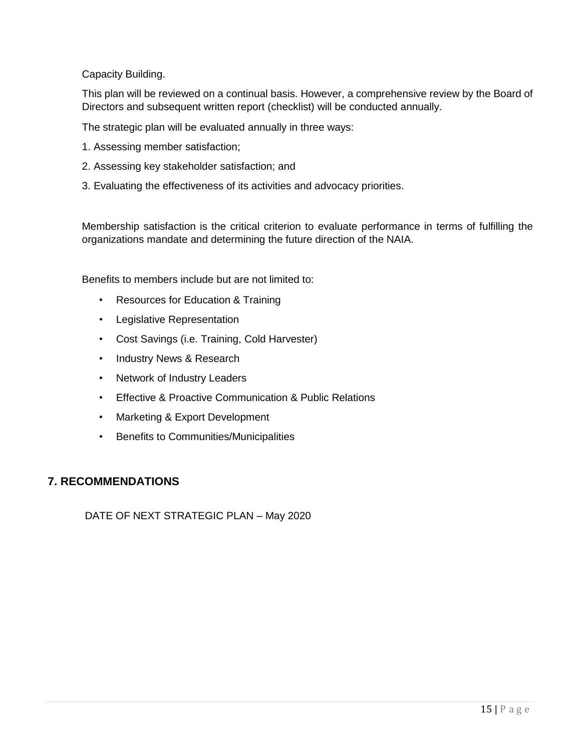Capacity Building.

This plan will be reviewed on a continual basis. However, a comprehensive review by the Board of Directors and subsequent written report (checklist) will be conducted annually.

The strategic plan will be evaluated annually in three ways:

- 1. Assessing member satisfaction;
- 2. Assessing key stakeholder satisfaction; and
- 3. Evaluating the effectiveness of its activities and advocacy priorities.

Membership satisfaction is the critical criterion to evaluate performance in terms of fulfilling the organizations mandate and determining the future direction of the NAIA.

Benefits to members include but are not limited to:

- Resources for Education & Training
- Legislative Representation
- Cost Savings (i.e. Training, Cold Harvester)
- Industry News & Research
- Network of Industry Leaders
- Effective & Proactive Communication & Public Relations
- Marketing & Export Development
- Benefits to Communities/Municipalities

## <span id="page-13-0"></span>**7. RECOMMENDATIONS**

DATE OF NEXT STRATEGIC PLAN – May 2020